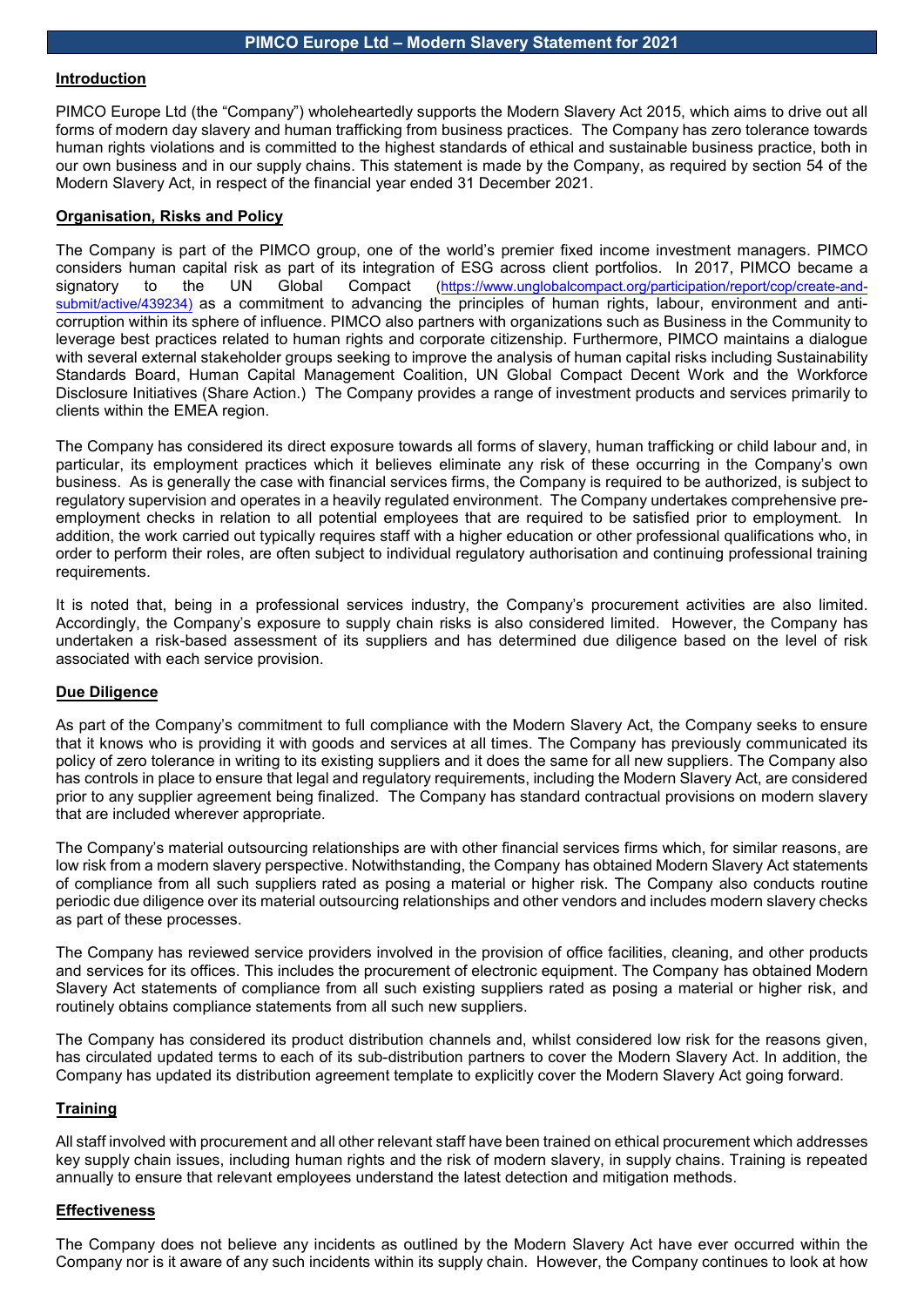#### **Introduction**

PIMCO Europe Ltd (the "Company") wholeheartedly supports the Modern Slavery Act 2015, which aims to drive out all forms of modern day slavery and human trafficking from business practices. The Company has zero tolerance towards human rights violations and is committed to the highest standards of ethical and sustainable business practice, both in our own business and in our supply chains. This statement is made by the Company, as required by section 54 of the Modern Slavery Act, in respect of the financial year ended 31 December 2021.

### **Organisation, Risks and Policy**

The Company is part of the PIMCO group, one of the world's premier fixed income investment managers. PIMCO considers human capital risk as part of its integration of ESG across client portfolios. In 2017, PIMCO became a<br>signatory to the UN Global Compact (https://www.unglobalcompact.org/participation/report/cop/create-and-signatory to the UN Global Compact [\(https://www.unglobalcompact.org/participation/report/cop/create-and](https://www.unglobalcompact.org/participation/report/cop/create-and-submit/active/439234)[submit/active/439234\)](https://www.unglobalcompact.org/participation/report/cop/create-and-submit/active/439234) as a commitment to advancing the principles of human rights, labour, environment and anticorruption within its sphere of influence. PIMCO also partners with organizations such as Business in the Community to leverage best practices related to human rights and corporate citizenship. Furthermore, PIMCO maintains a dialogue with several external stakeholder groups seeking to improve the analysis of human capital risks including Sustainability Standards Board, Human Capital Management Coalition, UN Global Compact Decent Work and the Workforce Disclosure Initiatives (Share Action.) The Company provides a range of investment products and services primarily to clients within the EMEA region.

The Company has considered its direct exposure towards all forms of slavery, human trafficking or child labour and, in particular, its employment practices which it believes eliminate any risk of these occurring in the Company's own business. As is generally the case with financial services firms, the Company is required to be authorized, is subject to regulatory supervision and operates in a heavily regulated environment. The Company undertakes comprehensive preemployment checks in relation to all potential employees that are required to be satisfied prior to employment. In addition, the work carried out typically requires staff with a higher education or other professional qualifications who, in order to perform their roles, are often subject to individual regulatory authorisation and continuing professional training requirements.

It is noted that, being in a professional services industry, the Company's procurement activities are also limited. Accordingly, the Company's exposure to supply chain risks is also considered limited. However, the Company has undertaken a risk-based assessment of its suppliers and has determined due diligence based on the level of risk associated with each service provision.

## **Due Diligence**

As part of the Company's commitment to full compliance with the Modern Slavery Act, the Company seeks to ensure that it knows who is providing it with goods and services at all times. The Company has previously communicated its policy of zero tolerance in writing to its existing suppliers and it does the same for all new suppliers. The Company also has controls in place to ensure that legal and regulatory requirements, including the Modern Slavery Act, are considered prior to any supplier agreement being finalized. The Company has standard contractual provisions on modern slavery that are included wherever appropriate.

The Company's material outsourcing relationships are with other financial services firms which, for similar reasons, are low risk from a modern slavery perspective. Notwithstanding, the Company has obtained Modern Slavery Act statements of compliance from all such suppliers rated as posing a material or higher risk. The Company also conducts routine periodic due diligence over its material outsourcing relationships and other vendors and includes modern slavery checks as part of these processes.

The Company has reviewed service providers involved in the provision of office facilities, cleaning, and other products and services for its offices. This includes the procurement of electronic equipment. The Company has obtained Modern Slavery Act statements of compliance from all such existing suppliers rated as posing a material or higher risk, and routinely obtains compliance statements from all such new suppliers.

The Company has considered its product distribution channels and, whilst considered low risk for the reasons given, has circulated updated terms to each of its sub-distribution partners to cover the Modern Slavery Act. In addition, the Company has updated its distribution agreement template to explicitly cover the Modern Slavery Act going forward.

#### **Training**

All staff involved with procurement and all other relevant staff have been trained on ethical procurement which addresses key supply chain issues, including human rights and the risk of modern slavery, in supply chains. Training is repeated annually to ensure that relevant employees understand the latest detection and mitigation methods.

#### **Effectiveness**

The Company does not believe any incidents as outlined by the Modern Slavery Act have ever occurred within the Company nor is it aware of any such incidents within its supply chain. However, the Company continues to look at how